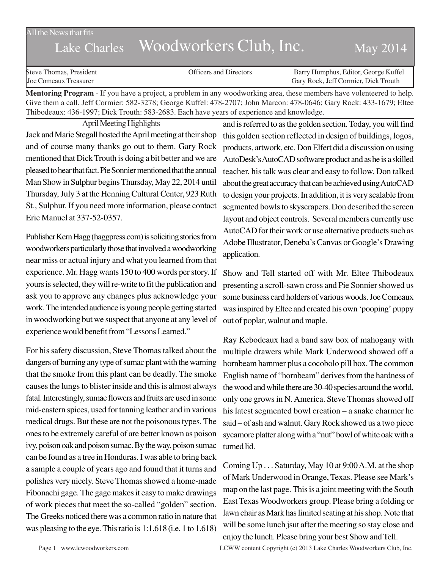#### All the News that fits

# Lake Charles Woodworkers Club, Inc. May 2014

| Steve Thomas, President      | <b>Officers and Directors</b> | Barry Humphus, Editor, George Kuffel |
|------------------------------|-------------------------------|--------------------------------------|
| <b>Joe Comeaux Treasurer</b> |                               | Gary Rock, Jeff Cormier, Dick Trouth |

**Mentoring Program** - If you have a project, a problem in any woodworking area, these members have volenteered to help. Give them a call. Jeff Cormier: 582-3278; George Kuffel: 478-2707; John Marcon: 478-0646; Gary Rock: 433-1679; Eltee Thibodeaux: 436-1997; Dick Trouth: 583-2683. Each have years of experience and knowledge.

April Meeting Highlights Jack and Marie Stegall hosted the April meeting at their shop and of course many thanks go out to them. Gary Rock mentioned that Dick Trouth is doing a bit better and we are pleased to hear that fact. Pie Sonnier mentioned that the annual Man Show in Sulphur begins Thursday, May 22, 2014 until Thursday, July 3 at the Henning Cultural Center, 923 Ruth St., Sulphur. If you need more information, please contact Eric Manuel at 337-52-0357.

Publisher Kern Hagg (haggpress.com) is soliciting stories from woodworkers particularly those that involved a woodworking near miss or actual injury and what you learned from that experience. Mr. Hagg wants 150 to 400 words per story. If yours is selected, they will re-write to fit the publication and ask you to approve any changes plus acknowledge your work. The intended audience is young people getting started in woodworking but we suspect that anyone at any level of experience would benefit from "Lessons Learned."

For his safety discussion, Steve Thomas talked about the dangers of burning any type of sumac plant with the warning that the smoke from this plant can be deadly. The smoke causes the lungs to blister inside and this is almost always fatal. Interestingly, sumac flowers and fruits are used in some mid-eastern spices, used for tanning leather and in various medical drugs. But these are not the poisonous types. The ones to be extremely careful of are better known as poison ivy, poison oak and poison sumac. By the way, poison sumac can be found as a tree in Honduras. I was able to bring back a sample a couple of years ago and found that it turns and polishes very nicely. Steve Thomas showed a home-made Fibonachi gage. The gage makes it easy to make drawings of work pieces that meet the so-called "golden" section. The Greeks noticed there was a common ratio in nature that was pleasing to the eye. This ratio is 1:1.618 (i.e. 1 to 1.618)

and is referred to as the golden section. Today, you will find this golden section reflected in design of buildings, logos, products, artwork, etc. Don Elfert did a discussion on using AutoDesk's AutoCAD software product and as he is a skilled teacher, his talk was clear and easy to follow. Don talked about the great accuracy that can be achieved using AutoCAD to design your projects. In addition, it is very scalable from segmented bowls to skyscrapers. Don described the screen layout and object controls. Several members currently use AutoCAD for their work or use alternative products such as Adobe Illustrator, Deneba's Canvas or Google's Drawing application.

Show and Tell started off with Mr. Eltee Thibodeaux presenting a scroll-sawn cross and Pie Sonnier showed us some business card holders of various woods. Joe Comeaux was inspired by Eltee and created his own 'pooping' puppy out of poplar, walnut and maple.

Ray Kebodeaux had a band saw box of mahogany with multiple drawers while Mark Underwood showed off a hornbeam hammer plus a cocobolo pill box. The common English name of "hornbeam" derives from the hardness of the wood and while there are 30-40 species around the world, only one grows in N. America. Steve Thomas showed off his latest segmented bowl creation – a snake charmer he said – of ash and walnut. Gary Rock showed us a two piece sycamore platter along with a "nut" bowl of white oak with a turned lid.

Coming Up . . . Saturday, May 10 at 9:00 A.M. at the shop of Mark Underwood in Orange, Texas. Please see Mark's map on the last page. This is a joint meeting with the South East Texas Woodworkers group. Please bring a folding or lawn chair as Mark has limited seating at his shop. Note that will be some lunch jsut after the meeting so stay close and enjoy the lunch. Please bring your best Show and Tell.

Page 1 www.lcwoodworkers.com LCWW content Copyright (c) 2013 Lake Charles Woodworkers Club, Inc.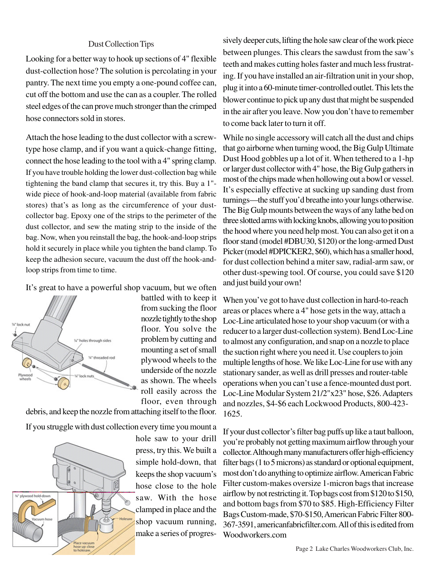# Dust Collection Tips

Looking for a better way to hook up sections of 4" flexible dust-collection hose? The solution is percolating in your pantry. The next time you empty a one-pound coffee can, cut off the bottom and use the can as a coupler. The rolled steel edges of the can prove much stronger than the crimped hose connectors sold in stores.

Attach the hose leading to the dust collector with a screwtype hose clamp, and if you want a quick-change fitting, connect the hose leading to the tool with a 4" spring clamp. If you have trouble holding the lower dust-collection bag while tightening the band clamp that secures it, try this. Buy a 1" wide piece of hook-and-loop material (available from fabric stores) that's as long as the circumference of your dustcollector bag. Epoxy one of the strips to the perimeter of the dust collector, and sew the mating strip to the inside of the bag. Now, when you reinstall the bag, the hook-and-loop strips hold it securely in place while you tighten the band clamp. To keep the adhesion secure, vacuum the dust off the hook-andloop strips from time to time.

It's great to have a powerful shop vacuum, but we often



battled with to keep it from sucking the floor nozzle tightly to the shop floor. You solve the problem by cutting and mounting a set of small plywood wheels to the underside of the nozzle as shown. The wheels roll easily across the floor, even through

debris, and keep the nozzle from attaching itself to the floor.

If you struggle with dust collection every time you mount a



hole saw to your drill press, try this. We built a simple hold-down, that keeps the shop vacuum's hose close to the hole saw. With the hose clamped in place and the shop vacuum running, make a series of progressively deeper cuts, lifting the hole saw clear of the work piece between plunges. This clears the sawdust from the saw's teeth and makes cutting holes faster and much less frustrating. If you have installed an air-filtration unit in your shop, plug it into a 60-minute timer-controlled outlet. This lets the blower continue to pick up any dust that might be suspended in the air after you leave. Now you don't have to remember to come back later to turn it off.

While no single accessory will catch all the dust and chips that go airborne when turning wood, the Big Gulp Ultimate Dust Hood gobbles up a lot of it. When tethered to a 1-hp or larger dust collector with 4" hose, the Big Gulp gathers in most of the chips made when hollowing out a bowl or vessel. It's especially effective at sucking up sanding dust from turnings—the stuff you'd breathe into your lungs otherwise. The Big Gulp mounts between the ways of any lathe bed on three slotted arms with locking knobs, allowing you to position the hood where you need help most. You can also get it on a floor stand (model #DBU30, \$120) or the long-armed Dust Picker (model #DPICKER2, \$60), which has a smaller hood, for dust collection behind a miter saw, radial-arm saw, or other dust-spewing tool. Of course, you could save \$120 and just build your own!

When you've got to have dust collection in hard-to-reach areas or places where a 4" hose gets in the way, attach a Loc-Line articulated hose to your shop vacuum (or with a reducer to a larger dust-collection system). Bend Loc-Line to almost any configuration, and snap on a nozzle to place the suction right where you need it. Use couplers to join multiple lengths of hose. We like Loc-Line for use with any stationary sander, as well as drill presses and router-table operations when you can't use a fence-mounted dust port. Loc-Line Modular System 21/2"x23" hose, \$26. Adapters and nozzles, \$4-\$6 each Lockwood Products, 800-423- 1625.

If your dust collector's filter bag puffs up like a taut balloon, you're probably not getting maximum airflow through your collector. Although many manufacturers offer high-efficiency filter bags (1 to 5 microns) as standard or optional equipment, most don't do anything to optimize airflow. American Fabric Filter custom-makes oversize 1-micron bags that increase airflow by not restricting it. Top bags cost from \$120 to \$150, and bottom bags from \$70 to \$85. High-Efficiency Filter Bags Custom-made, \$70-\$150, American Fabric Filter 800- 367-3591, americanfabricfilter.com. All of this is edited from Woodworkers.com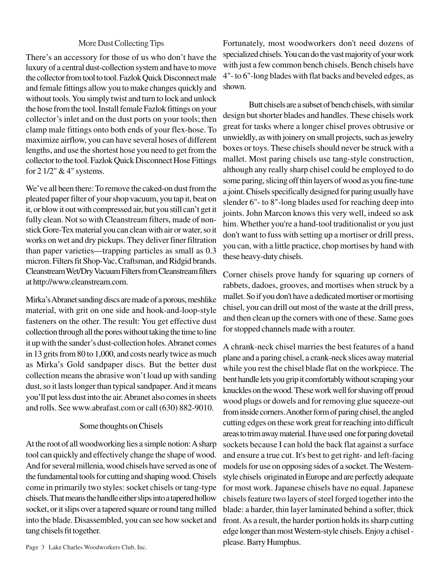# More Dust Collecting Tips

There's an accessory for those of us who don't have the luxury of a central dust-collection system and have to move the collector from tool to tool. Fazlok Quick Disconnect male and female fittings allow you to make changes quickly and without tools. You simply twist and turn to lock and unlock the hose from the tool. Install female Fazlok fittings on your collector's inlet and on the dust ports on your tools; then clamp male fittings onto both ends of your flex-hose. To maximize airflow, you can have several hoses of different lengths, and use the shortest hose you need to get from the collector to the tool. Fazlok Quick Disconnect Hose Fittings for 2 1/2" & 4" systems.

We've all been there: To remove the caked-on dust from the pleated paper filter of your shop vacuum, you tap it, beat on it, or blow it out with compressed air, but you still can't get it fully clean. Not so with Cleanstream filters, made of nonstick Gore-Tex material you can clean with air or water, so it works on wet and dry pickups. They deliver finer filtration than paper varieties—trapping particles as small as 0.3 micron. Filters fit Shop-Vac, Craftsman, and Ridgid brands. Cleanstream Wet/Dry Vacuum Filters from Cleanstream filters at http://www.cleanstream.com.

Mirka's Abranet sanding discs are made of a porous, meshlike material, with grit on one side and hook-and-loop-style fasteners on the other. The result: You get effective dust collection through all the pores without taking the time to line it up with the sander's dust-collection holes. Abranet comes in 13 grits from 80 to 1,000, and costs nearly twice as much as Mirka's Gold sandpaper discs. But the better dust collection means the abrasive won't load up with sanding dust, so it lasts longer than typical sandpaper. And it means you'll put less dust into the air. Abranet also comes in sheets and rolls. See www.abrafast.com or call (630) 882-9010.

## Some thoughts on Chisels

At the root of all woodworking lies a simple notion: A sharp tool can quickly and effectively change the shape of wood. And for several millenia, wood chisels have served as one of the fundamental tools for cutting and shaping wood. Chisels come in primarily two styles: socket chisels or tang-type chisels. That means the handle either slips into a tapered hollow socket, or it slips over a tapered square or round tang milled into the blade. Disassembled, you can see how socket and tang chisels fit together.

Fortunately, most woodworkers don't need dozens of specialized chisels. You can do the vast majority of your work with just a few common bench chisels. Bench chisels have 4"- to 6"-long blades with flat backs and beveled edges, as shown.

Butt chisels are a subset of bench chisels, with similar design but shorter blades and handles. These chisels work great for tasks where a longer chisel proves obtrusive or unwieldly, as with joinery on small projects, such as jewelry boxes or toys. These chisels should never be struck with a mallet. Most paring chisels use tang-style construction, although any really sharp chisel could be employed to do some paring, slicing off thin layers of wood as you fine-tune a joint. Chisels specifically designed for paring usually have slender 6"- to 8"-long blades used for reaching deep into joints. John Marcon knows this very well, indeed so ask him. Whether you're a hand-tool traditionalist or you just don't want to fuss with setting up a mortiser or drill press, you can, with a little practice, chop mortises by hand with these heavy-duty chisels.

Corner chisels prove handy for squaring up corners of rabbets, dadoes, grooves, and mortises when struck by a mallet. So if you don't have a dedicated mortiser or mortising chisel, you can drill out most of the waste at the drill press, and then clean up the corners with one of these. Same goes for stopped channels made with a router.

A chrank-neck chisel marries the best features of a hand plane and a paring chisel, a crank-neck slices away material while you rest the chisel blade flat on the workpiece. The bent handle lets you grip it comfortably without scraping your knuckles on the wood. These work well for shaving off proud wood plugs or dowels and for removing glue squeeze-out from inside corners. Another form of paring chisel, the angled cutting edges on these work great for reaching into difficult areas to trim away material. I have used one for paring dovetail sockets because I can hold the back flat against a surface and ensure a true cut. It's best to get right- and left-facing models for use on opposing sides of a socket. The Westernstyle chisels originated in Europe and are perfectly adequate for most work. Japanese chisels have no equal. Japanese chisels feature two layers of steel forged together into the blade: a harder, thin layer laminated behind a softer, thick front. As a result, the harder portion holds its sharp cutting edge longer than most Western-style chisels. Enjoy a chisel please. Barry Humphus.